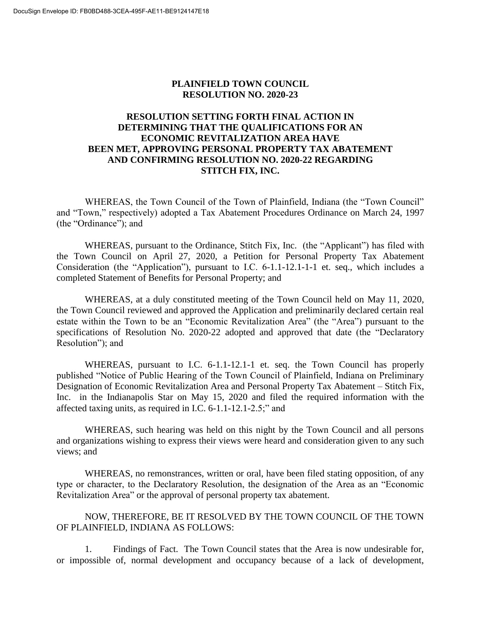## **PLAINFIELD TOWN COUNCIL RESOLUTION NO. 2020-23**

## **RESOLUTION SETTING FORTH FINAL ACTION IN DETERMINING THAT THE QUALIFICATIONS FOR AN ECONOMIC REVITALIZATION AREA HAVE BEEN MET, APPROVING PERSONAL PROPERTY TAX ABATEMENT AND CONFIRMING RESOLUTION NO. 2020-22 REGARDING STITCH FIX, INC.**

WHEREAS, the Town Council of the Town of Plainfield, Indiana (the "Town Council" and "Town," respectively) adopted a Tax Abatement Procedures Ordinance on March 24, 1997 (the "Ordinance"); and

WHEREAS, pursuant to the Ordinance, Stitch Fix, Inc. (the "Applicant") has filed with the Town Council on April 27, 2020, a Petition for Personal Property Tax Abatement Consideration (the "Application"), pursuant to I.C. 6-1.1-12.1-1-1 et. seq., which includes a completed Statement of Benefits for Personal Property; and

WHEREAS, at a duly constituted meeting of the Town Council held on May 11, 2020, the Town Council reviewed and approved the Application and preliminarily declared certain real estate within the Town to be an "Economic Revitalization Area" (the "Area") pursuant to the specifications of Resolution No. 2020-22 adopted and approved that date (the "Declaratory Resolution"); and

WHEREAS, pursuant to I.C. 6-1.1-12.1-1 et. seq. the Town Council has properly published "Notice of Public Hearing of the Town Council of Plainfield, Indiana on Preliminary Designation of Economic Revitalization Area and Personal Property Tax Abatement – Stitch Fix, Inc. in the Indianapolis Star on May 15, 2020 and filed the required information with the affected taxing units, as required in I.C. 6-1.1-12.1-2.5;" and

WHEREAS, such hearing was held on this night by the Town Council and all persons and organizations wishing to express their views were heard and consideration given to any such views; and

WHEREAS, no remonstrances, written or oral, have been filed stating opposition, of any type or character, to the Declaratory Resolution, the designation of the Area as an "Economic Revitalization Area" or the approval of personal property tax abatement.

NOW, THEREFORE, BE IT RESOLVED BY THE TOWN COUNCIL OF THE TOWN OF PLAINFIELD, INDIANA AS FOLLOWS:

1. Findings of Fact. The Town Council states that the Area is now undesirable for, or impossible of, normal development and occupancy because of a lack of development,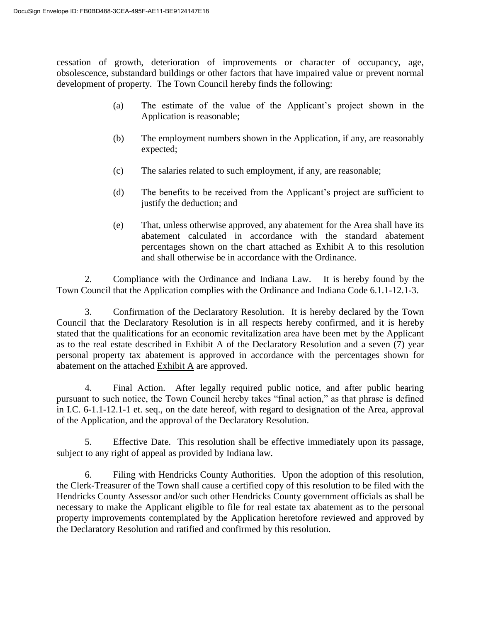cessation of growth, deterioration of improvements or character of occupancy, age, obsolescence, substandard buildings or other factors that have impaired value or prevent normal development of property. The Town Council hereby finds the following:

- (a) The estimate of the value of the Applicant's project shown in the Application is reasonable;
- (b) The employment numbers shown in the Application, if any, are reasonably expected;
- (c) The salaries related to such employment, if any, are reasonable;
- (d) The benefits to be received from the Applicant's project are sufficient to justify the deduction; and
- (e) That, unless otherwise approved, any abatement for the Area shall have its abatement calculated in accordance with the standard abatement percentages shown on the chart attached as Exhibit A to this resolution and shall otherwise be in accordance with the Ordinance.

2. Compliance with the Ordinance and Indiana Law. It is hereby found by the Town Council that the Application complies with the Ordinance and Indiana Code 6.1.1-12.1-3.

3. Confirmation of the Declaratory Resolution. It is hereby declared by the Town Council that the Declaratory Resolution is in all respects hereby confirmed, and it is hereby stated that the qualifications for an economic revitalization area have been met by the Applicant as to the real estate described in Exhibit A of the Declaratory Resolution and a seven (7) year personal property tax abatement is approved in accordance with the percentages shown for abatement on the attached Exhibit A are approved.

4. Final Action. After legally required public notice, and after public hearing pursuant to such notice, the Town Council hereby takes "final action," as that phrase is defined in I.C. 6-1.1-12.1-1 et. seq., on the date hereof, with regard to designation of the Area, approval of the Application, and the approval of the Declaratory Resolution.

5. Effective Date. This resolution shall be effective immediately upon its passage, subject to any right of appeal as provided by Indiana law.

6. Filing with Hendricks County Authorities. Upon the adoption of this resolution, the Clerk-Treasurer of the Town shall cause a certified copy of this resolution to be filed with the Hendricks County Assessor and/or such other Hendricks County government officials as shall be necessary to make the Applicant eligible to file for real estate tax abatement as to the personal property improvements contemplated by the Application heretofore reviewed and approved by the Declaratory Resolution and ratified and confirmed by this resolution.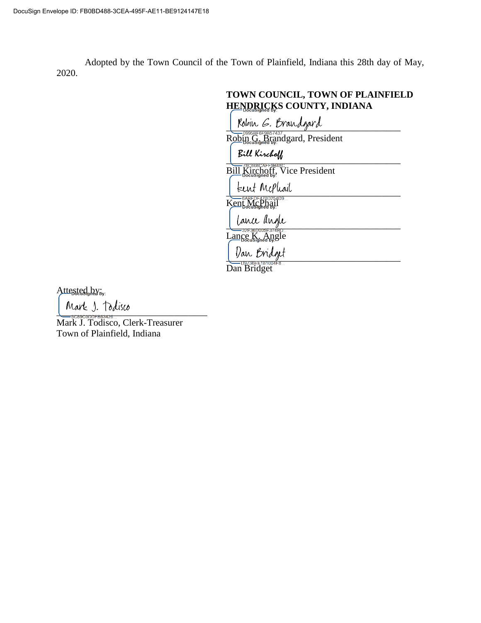Adopted by the Town Council of the Town of Plainfield, Indiana this 28th day of May, 2020.

|                                   | Robin G. Brandgard            |                               |  |
|-----------------------------------|-------------------------------|-------------------------------|--|
|                                   |                               | Robin G. Brandgard, President |  |
| Bill Kirchoff                     |                               |                               |  |
|                                   | Bill Kirchoff, Vice President |                               |  |
| kent Mephail                      |                               |                               |  |
| Kent McPhail                      |                               |                               |  |
| lance angle                       |                               |                               |  |
| 32E36D005E374BD<br>Lance K, Angle |                               |                               |  |
| Van Bridge                        |                               |                               |  |

Attested by:

 $\frac{1}{2}$   $\frac{1}{2}$   $\frac{1}{2}$   $\frac{1}{2}$   $\frac{1}{2}$   $\frac{1}{2}$   $\frac{1}{2}$   $\frac{1}{2}$   $\frac{1}{2}$   $\frac{1}{2}$   $\frac{1}{2}$   $\frac{1}{2}$   $\frac{1}{2}$   $\frac{1}{2}$   $\frac{1}{2}$   $\frac{1}{2}$   $\frac{1}{2}$   $\frac{1}{2}$   $\frac{1}{2}$   $\frac{1}{2}$   $\frac{1}{2}$   $\frac{1}{2}$ 

Mark J. Todisco, Clerk-Treasurer Town of Plainfield, Indiana